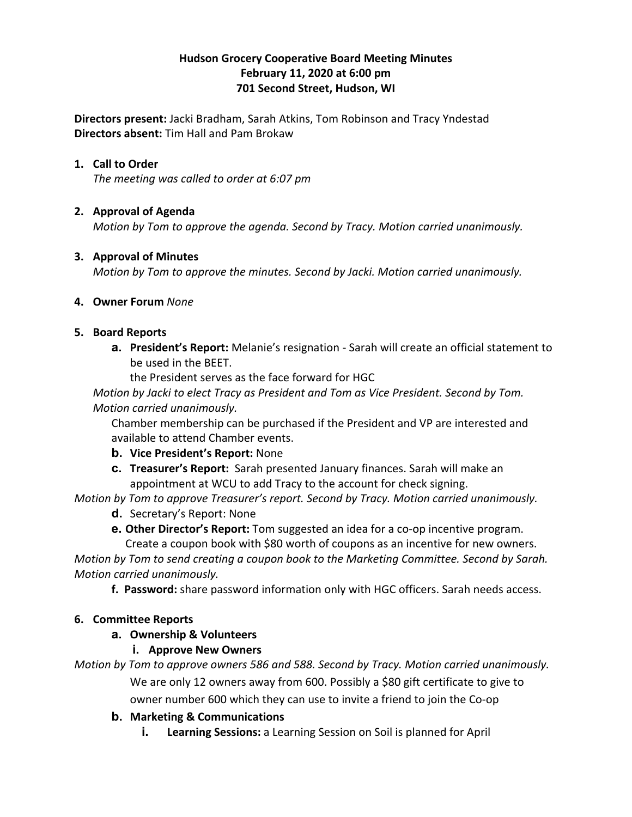#### **Hudson Grocery Cooperative Board Meeting Minutes February 11, 2020 at 6:00 pm 701 Second Street, Hudson, WI**

**Directors present:** Jacki Bradham, Sarah Atkins, Tom Robinson and Tracy Yndestad **Directors absent:** Tim Hall and Pam Brokaw

#### **1. Call to Order**

*The meeting was called to order at 6:07 pm*

#### **2. Approval of Agenda**

*Motion by Tom to approve the agenda. Second by Tracy. Motion carried unanimously.*

#### **3. Approval of Minutes**

*Motion by Tom to approve the minutes. Second by Jacki. Motion carried unanimously.*

#### **4. Owner Forum** *None*

#### **5. Board Reports**

**a. President's Report:** Melanie's resignation - Sarah will create an official statement to be used in the BEET.

the President serves as the face forward for HGC

*Motion by Jacki to elect Tracy as President and Tom as Vice President. Second by Tom. Motion carried unanimously.*

Chamber membership can be purchased if the President and VP are interested and available to attend Chamber events.

- **b. Vice President's Report:** None
- **c. Treasurer's Report:** Sarah presented January finances. Sarah will make an appointment at WCU to add Tracy to the account for check signing.

*Motion by Tom to approve Treasurer's report. Second by Tracy. Motion carried unanimously.*

- **d.** Secretary's Report: None
- **e. Other Director's Report:** Tom suggested an idea for a co-op incentive program.

Create a coupon book with \$80 worth of coupons as an incentive for new owners. *Motion by Tom to send creating a coupon book to the Marketing Committee. Second by Sarah. Motion carried unanimously.*

**f. Password:** share password information only with HGC officers. Sarah needs access.

### **6. Committee Reports**

### **a. Ownership & Volunteers**

### **i. Approve New Owners**

*Motion by Tom to approve owners 586 and 588. Second by Tracy. Motion carried unanimously.* We are only 12 owners away from 600. Possibly a \$80 gift certificate to give to owner number 600 which they can use to invite a friend to join the Co-op

### **b. Marketing & Communications**

**i. Learning Sessions:** a Learning Session on Soil is planned for April